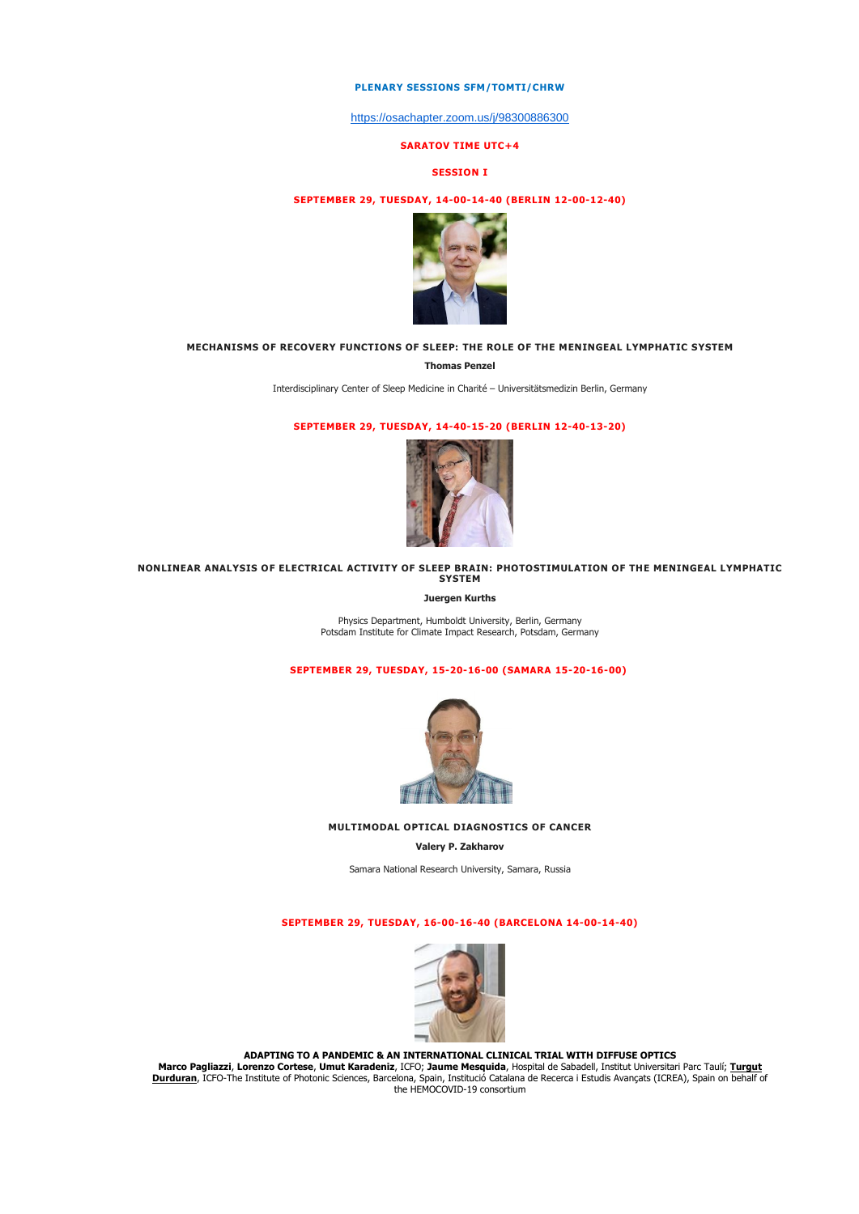### **PLENARY SESSIONS SFM/TOMTI/CHRW**

<https://osachapter.zoom.us/j/98300886300>

### **SARATOV TIME UTC+4**

#### **SESSION I**

## **SEPTEMBER 29, TUESDAY, 14-00-14-40 (BERLIN 12-00-12-40)**



### **MECHANISMS OF RECOVERY FUNCTIONS OF SLEEP: THE ROLE OF THE MENINGEAL LYMPHATIC SYSTEM**

**Thomas Penzel**

Interdisciplinary Center of Sleep Medicine in Charité – Universitätsmedizin Berlin, Germany

## **SEPTEMBER 29, TUESDAY, 14-40-15-20 (BERLIN 12-40-13-20)**



### **NONLINEAR ANALYSIS OF ELECTRICAL ACTIVITY OF SLEEP BRAIN: PHOTOSTIMULATION OF THE MENINGEAL LYMPHATIC SYSTEM**

**Juergen Kurths**

Physics Department, Humboldt University, Berlin, Germany Potsdam Institute for Climate Impact Research, Potsdam, Germany

# **SEPTEMBER 29, TUESDAY, 15-20-16-00 (SAMARA 15-20-16-00)**



**MULTIMODAL OPTICAL DIAGNOSTICS OF CANCER**

**Valery P. Zakharov**

Samara National Research University, Samara, Russia

### **SEPTEMBER 29, TUESDAY, 16-00-16-40 (BARCELONA 14-00-14-40)**



**ADAPTING TO A PANDEMIC & AN [INTERNATIONAL](https://sfmconference.org/sfm/20/workshops/optical-technologies-in-biophysics-medicine-xxii/preliminary/541/) CLINICAL TRIAL WITH DIFFUSE OPTICS**

Marco Pagliazzi, Lorenzo Cortese, Umut Karadeniz, ICFO; Jaume Mesquida, Hospital de Sabadell, Institut Universitari Parc Taulí; <u>Turqut</u><br>19 Durduran, ICFO-The Institute of Photonic Sciences, Barcelona, Spain, Institució Ca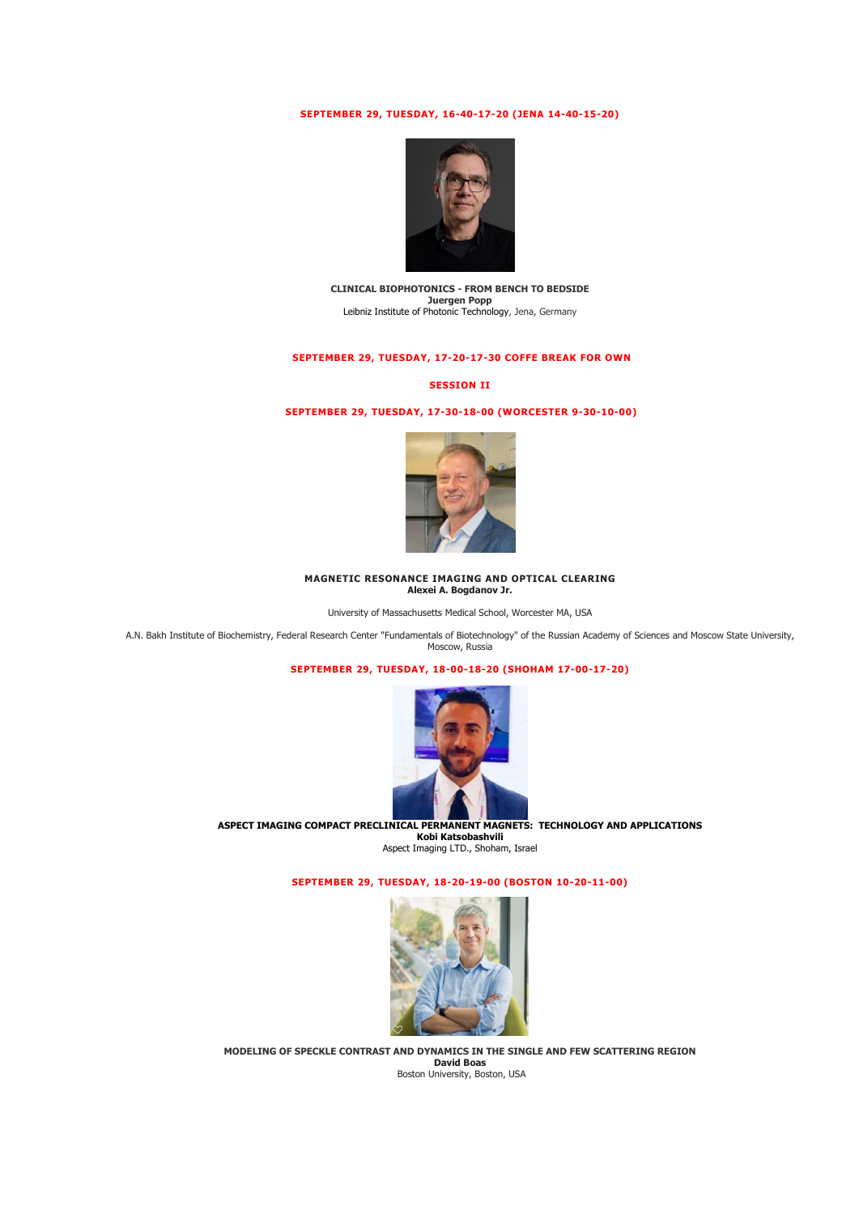## **SEPTEMBER 29, TUESDAY, 16-40-17-20 (JENA 14-40-15-20)**



**CLINICAL BIOPHOTONICS - FROM BENCH TO BEDSIDE Juergen Popp<br>[Leibniz Institute of Photonic Technology, Jena, Germany](https://www.uni-jena.de/en/research/partners/leibniz+institute+of+photonic+technology+jena)** 

## **SEPTEMBER 29, TUESDAY, 17-20-17-30 COFFE BREAK FOR OWN**

#### **SESSION II**

## **SEPTEMBER 29, TUESDAY, 17-30-18-00 (WORCESTER 9-30-10-00)**



#### **MAGNETIC RESONANCE IMAGING AND OPTICAL CLEARING Alexei A. Bogdanov Jr.**

University of Massachusetts Medical School, Worcester MA, USA

A.N. Bakh Institute of Biochemistry, Federal Research Center "Fundamentals of Biotechnology" of the Russian Academy of Sciences and Moscow State University, Moscow, Russia

### **SEPTEMBER 29, TUESDAY, 18-00-18-20 (SHOHAM 17-00-17-20)**



**ASPECT IMAGING COMPACT PRECLINICAL PERMANENT MAGNETS: TECHNOLOGY AND APPLICATIONS Kobi Katsobashvili** 

Aspect Imaging LTD., Shoham, Israel

**SEPTEMBER 29, TUESDAY, 18-20-19-00 (BOSTON 10-20-11-00)**



**MODELING OF SPECKLE CONTRAST AND DYNAMICS IN THE SINGLE AND FEW SCATTERING REGION David Boas** Boston University, Boston, USA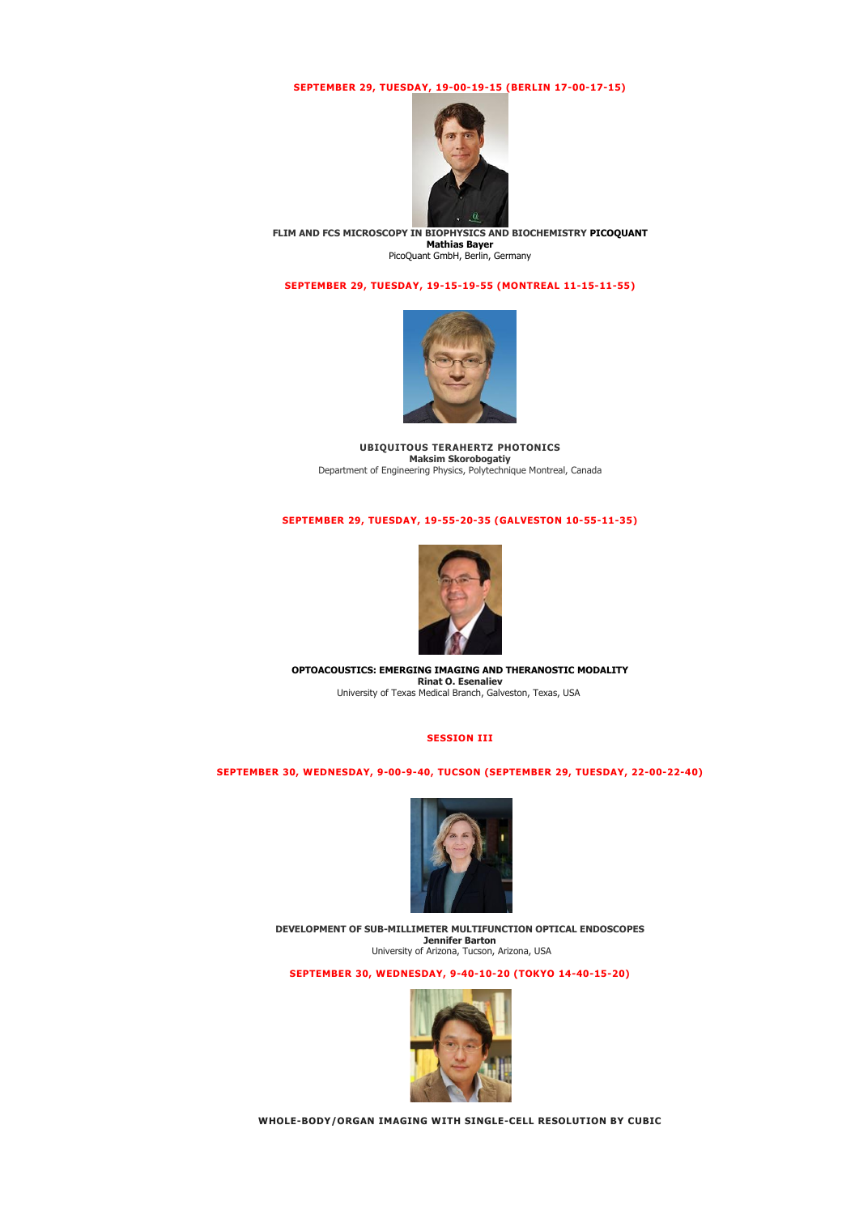# **SEPTEMBER 29, TUESDAY, 19-00-19-15 (BERLIN 17-00-17-15)**



**FLIM AND FCS MICROSCOPY IN BIOPHYSICS AND BIOCHEMISTRY PICOQUANT Mathias Bayer** PicoQuant GmbH, Berlin, Germany

# **SEPTEMBER 29, TUESDAY, 19-15-19-55 (MONTREAL 11-15-11-55)**



**UBIQUITOUS TERAHERTZ PHOTONICS Maksim Skorobogatiy** Department of Engineering Physics, Polytechnique Montreal, Canada

# **SEPTEMBER 29, TUESDAY, 19-55-20-35 (GALVESTON 10-55-11-35)**



**OPTOACOUSTICS: EMERGING IMAGING AND THERANOSTIC MODALITY Rinat O. Esenaliev** University of Texas Medical Branch, Galveston, Texas, USA

# **SESSION III**

**SEPTEMBER 30, WEDNESDAY, 9-00-9-40, TUCSON (SEPTEMBER 29, TUESDAY, 22-00-22-40)**



**DEVELOPMENT OF SUB-MILLIMETER MULTIFUNCTION OPTICAL ENDOSCOPES Jennifer Barton**<br>University of Arizona, Tucson, Arizona, USA

**SEPTEMBER 30, WEDNESDAY, 9-40-10-20 (TOKYO 14-40-15-20)**



**WHOLE-BODY/ORGAN IMAGING WITH SINGLE-CELL RESOLUTION BY CUBIC**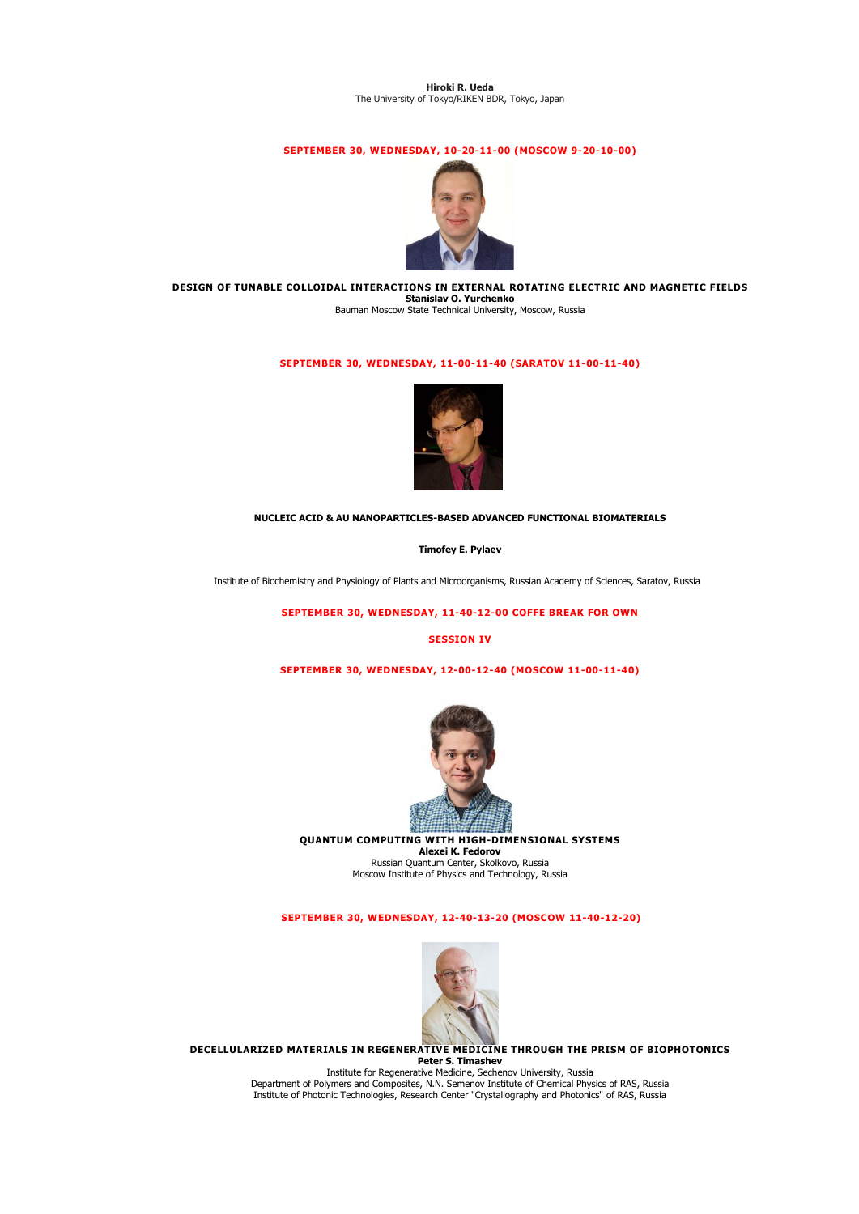#### **Hiroki R. Ueda** The University of Tokyo/RIKEN BDR, Tokyo, Japan

# **SEPTEMBER 30, WEDNESDAY, 10-20-11-00 (MOSCOW 9-20-10-00)**



**DESIGN OF TUNABLE COLLOIDAL INTERACTIONS IN EXTERNAL ROTATING ELECTRIC AND MAGNETIC FIELDS Stanislav O. Yurchenko** Bauman Moscow State Technical University, Moscow, Russia

# **SEPTEMBER 30, WEDNESDAY, 11-00-11-40 (SARATOV 11-00-11-40)**



### **NUCLEIC ACID & AU NANOPARTICLES-BASED ADVANCED FUNCTIONAL BIOMATERIALS**

**Timofey E. Pylaev**

Institute of Biochemistry and Physiology of Plants and Microorganisms, Russian Academy of Sciences, Saratov, Russia

**SEPTEMBER 30, WEDNESDAY, 11-40-12-00 COFFE BREAK FOR OWN**

### **SESSION IV**

**SEPTEMBER 30, WEDNESDAY, 12-00-12-40 (MOSCOW 11-00-11-40)**



**QUANTUM COMPUTING WITH HIGH-DIMENSIONAL SYSTEMS Alexei K. Fedorov** Russian Quantum Center, Skolkovo, Russia Moscow Institute of Physics and Technology, Russia

# **SEPTEMBER 30, WEDNESDAY, 12-40-13-20 (MOSCOW 11-40-12-20)**



**DECELLULARIZED MATERIALS IN REGENERATIVE MEDICINE THROUGH THE PRISM OF BIOPHOTONICS Peter S. Timashev**

Institute for Regenerative Medicine, Sechenov University, Russia Department of Polymers and Composites, N.N. Semenov Institute of Chemical Physics of RAS, Russia Institute of Photonic Technologies, Research Center "Crystallography and Photonics" of RAS, Russia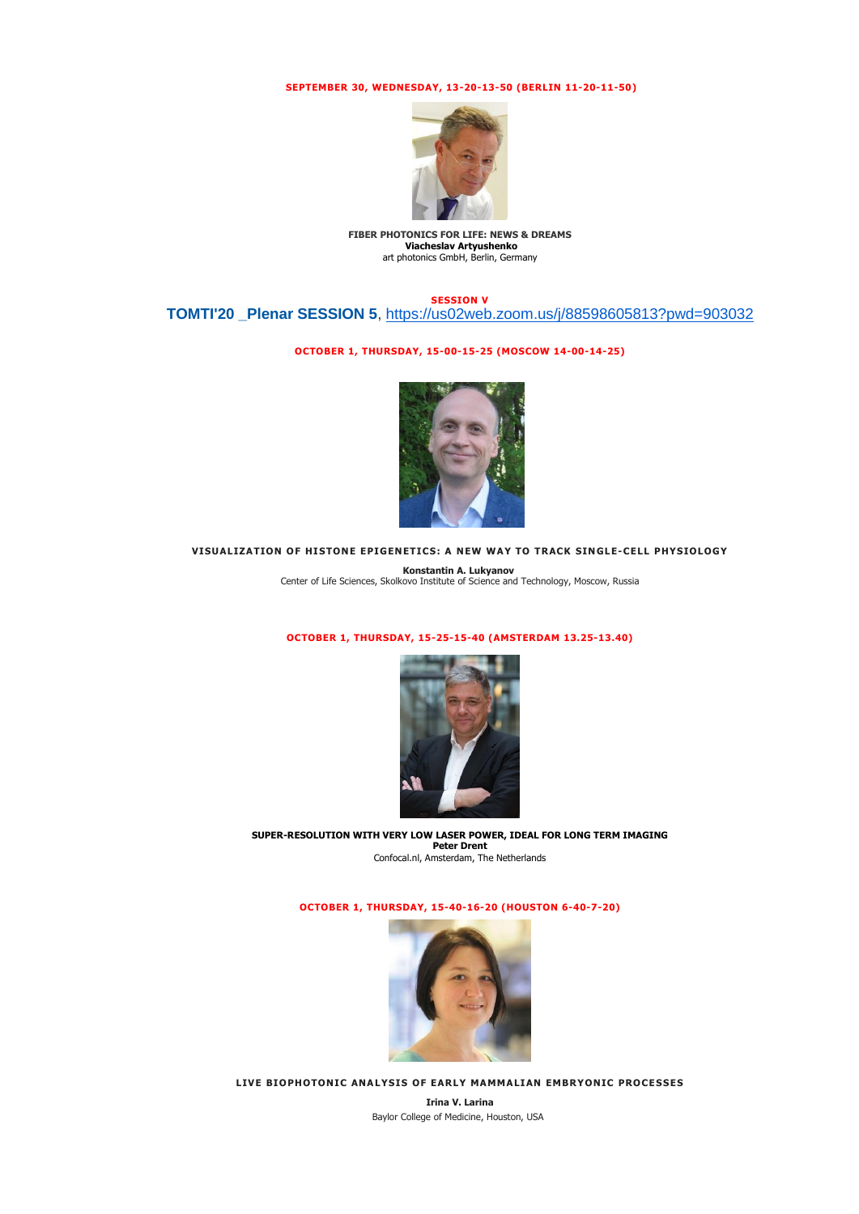# **SEPTEMBER 30, WEDNESDAY, 13-20-13-50 (BERLIN 11-20-11-50)**



**FIBER PHOTONICS FOR LIFE: NEWS & DREAMS Viacheslav Artyushenko** art photonics GmbH, Berlin, Germany

**SESSION V** 

**TOMTI'20 \_Plenar SESSION 5**, [https://us02web.zoom.us/j/88598605813?pwd=903032](https://checklink.mail.ru/proxy?es=lRqyzPa8gkYfXGlwpfYf396qXvwF86RUKL1gy7k%2Fta8%3D&egid=VQuNxZfXMpDQ31oFAo1fTihtTmoXCvl0HFlWhZ%2BwYN8%3D&url=https%3A%2F%2Fclick.mail.ru%2Fredir%3Fu%3Dhttps%253A%252F%252Fchecklink.mail.ru%252Fproxy%253Fes%253DlRqyzPa8gkYfXGlwpfYf396qXvwF86RUKL1gy7k%25252Fta8%25253D%2526egid%253DVQuNxZfXMpDQ31oFAo1fTihtTmoXCvl0HFlWhZ%25252BwYN8%25253D%2526url%253Dhttps%25253A%25252F%25252Fclick.mail.ru%25252Fredir%25253Fu%25253Dhttps%2525253A%2525252F%2525252Fus02web.zoom.us%2525252Fj%2525252F88598605813%2525253Fpwd%2525253D903032%252526c%25253Dswm%252526r%25253Dhttp%252526o%25253Dmail%252526v%25253D2%252526s%25253Dffcccadf2a4b1add%2526uidl%253D16011369611970890452%2526from%253Dvjerdeva%252540yandex.ru%2526to%253Ds.izabell2014%252540gmail.com%26c%3Dswm%26r%3Dhttp%26o%3Dmail%26v%3D2%26s%3Dc7f466eefb4d97f2&uidl=16011369611970890452&from=vjerdeva%40yandex.ru&to=s.izabell2014%40gmail.com)

### **OCTOBER 1, THURSDAY, 15-00-15-25 (MOSCOW 14-00-14-25)**



### **VISUALIZATION OF HISTONE EPIGENETICS: A NEW WAY TO TRACK SINGLE-CELL PHYSIOLOGY**

**Konstantin A. Lukyanov** Center of Life Sciences, Skolkovo Institute of Science and Technology, Moscow, Russia

# **OCTOBER 1, THURSDAY, 15-25-15-40 (AMSTERDAM 13.25-13.40)**



**[SUPER-RESOLUTION WITH VERY LOW LASER POWER, IDEAL FOR LONG TERM IMAGING](https://sfmconference.org/sfm/20/workshops/towards-optical-and-multimodality-translational-imaging/preliminary/560/) Peter Drent** Confocal.nl, Amsterdam, The Netherlands

**OCTOBER 1, THURSDAY, 15-40-16-20 (HOUSTON 6-40-7-20)**



**LIVE BIOPHOTONIC ANALYSIS OF EARLY MAMMALIAN EMBRYONIC PROCESSES**

**Irina V. Larina** Baylor College of Medicine, Houston, USA